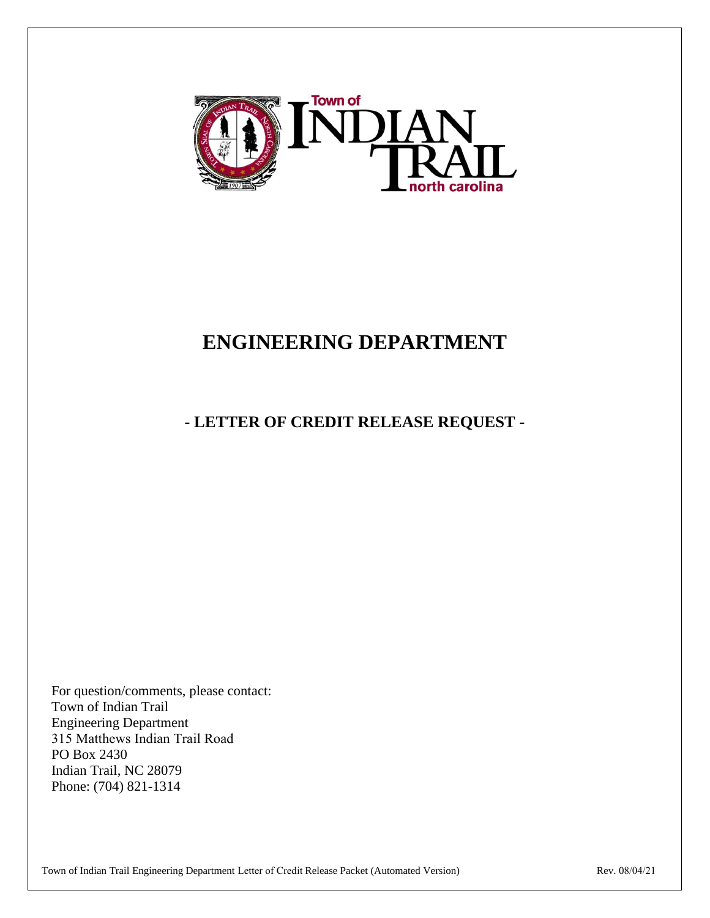

# **ENGINEERING DEPARTMENT**

# **- LETTER OF CREDIT RELEASE REQUEST -**

For question/comments, please contact: Town of Indian Trail Engineering Department 315 Matthews Indian Trail Road PO Box 2430 Indian Trail, NC 28079 Phone: (704) 821-1314

Town of Indian Trail Engineering Department Letter of Credit Release Packet (Automated Version) Rev. 08/04/21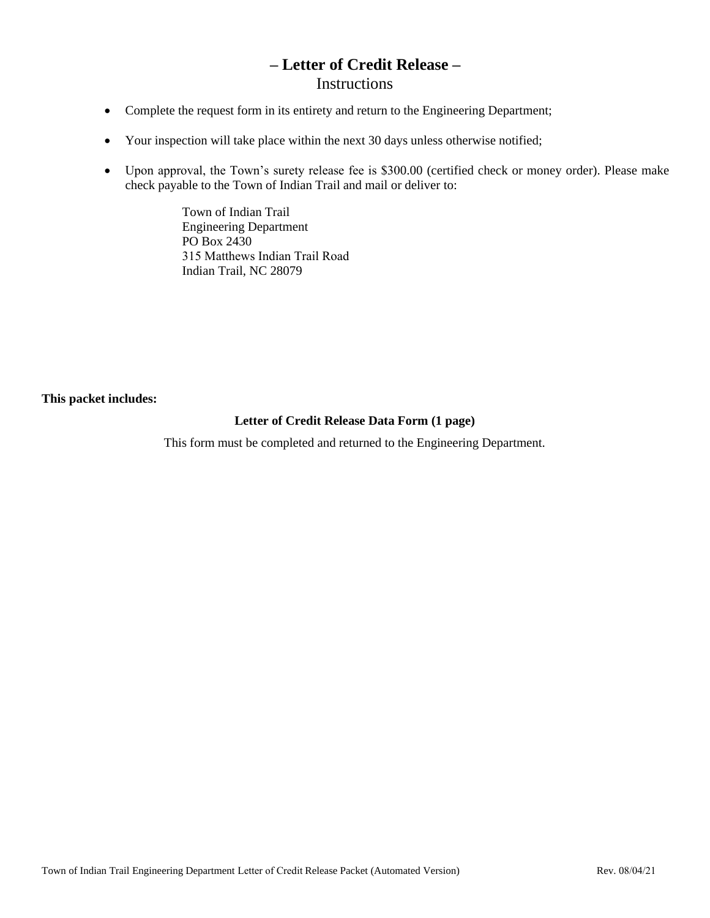### **– Letter of Credit Release –** Instructions

- Complete the request form in its entirety and return to the Engineering Department;
- Your inspection will take place within the next 30 days unless otherwise notified;
- Upon approval, the Town's surety release fee is \$300.00 (certified check or money order). Please make check payable to the Town of Indian Trail and mail or deliver to:

Town of Indian Trail Engineering Department PO Box 2430 315 Matthews Indian Trail Road Indian Trail, NC 28079

**This packet includes:**

#### **Letter of Credit Release Data Form (1 page)**

This form must be completed and returned to the Engineering Department.